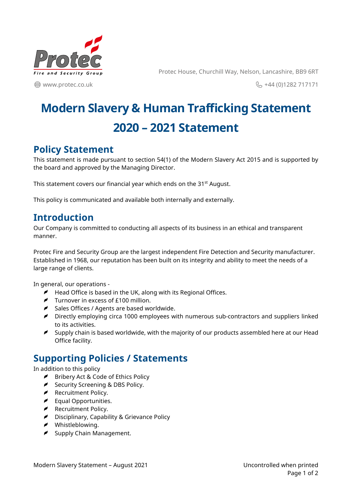

**edge** www.protec.co.uk

Protec House, Churchill Way, Nelson, Lancashire, BB9 6RT

& +44 (0)1282 717171

# **Modern Slavery & Human Trafficking Statement 2020 – 2021 Statement**

#### **Policy Statement**

This statement is made pursuant to section 54(1) of the Modern Slavery Act 2015 and is supported by the board and approved by the Managing Director.

This statement covers our financial year which ends on the 31<sup>st</sup> August.

This policy is communicated and available both internally and externally.

## **Introduction**

Our Company is committed to conducting all aspects of its business in an ethical and transparent manner.

Protec Fire and Security Group are the largest independent Fire Detection and Security manufacturer. Established in 1968, our reputation has been built on its integrity and ability to meet the needs of a large range of clients.

In general, our operations -

- $\blacktriangleright$  Head Office is based in the UK, along with its Regional Offices.
- $\blacktriangleright$  Turnover in excess of £100 million.
- Sales Offices / Agents are based worldwide.
- Directly employing circa 1000 employees with numerous sub-contractors and suppliers linked to its activities.
- $\blacktriangleright$  Supply chain is based worldwide, with the majority of our products assembled here at our Head Office facility.

## **Supporting Policies / Statements**

In addition to this policy

- Bribery Act & Code of Ethics Policy
- Security Screening & DBS Policy.
- Recruitment Policy.
- Equal Opportunities.
- **P** Recruitment Policy.
- Disciplinary, Capability & Grievance Policy
- Whistleblowing.
- $\blacktriangleright$  Supply Chain Management.